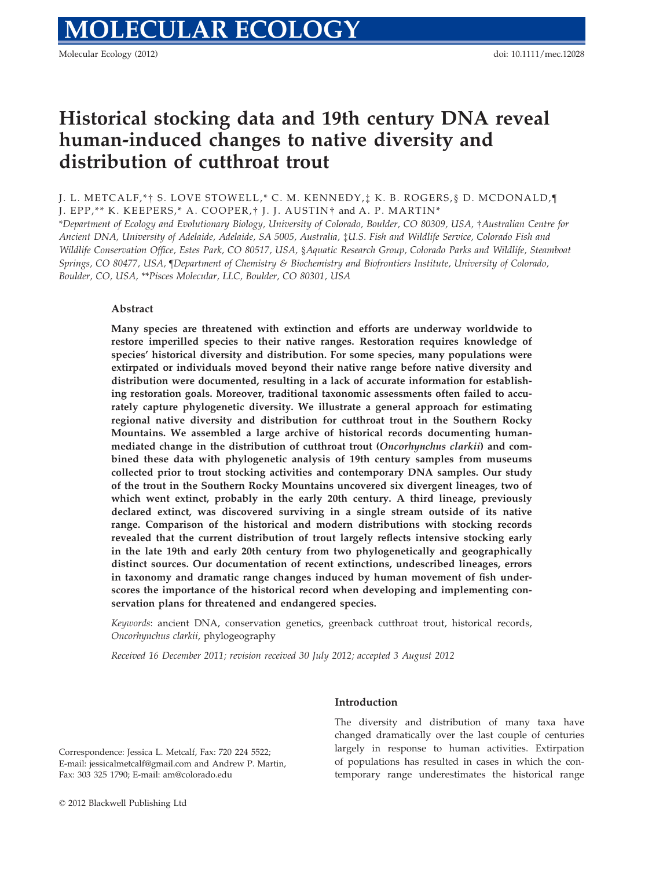# Historical stocking data and 19th century DNA reveal human-induced changes to native diversity and distribution of cutthroat trout

J. L. METCALF,\*† S. LOVE STOWELL,\* C. M. KENNEDY,‡ K. B. ROGERS,§ D. MCDONALD, ¶ J. EPP,\*\* K. KEEPERS,\* A. COOPER,† J. J. AUSTIN† and A. P. MARTIN\*

\*Department of Ecology and Evolutionary Biology, University of Colorado, Boulder, CO 80309, USA, †Australian Centre for Ancient DNA, University of Adelaide, Adelaide, SA 5005, Australia, ‡U.S. Fish and Wildlife Service, Colorado Fish and Wildlife Conservation Office, Estes Park, CO 80517, USA, §Aquatic Research Group, Colorado Parks and Wildlife, Steamboat Springs, CO 80477, USA, ¶Department of Chemistry & Biochemistry and Biofrontiers Institute, University of Colorado, Boulder, CO, USA, \*\*Pisces Molecular, LLC, Boulder, CO 80301, USA

#### Abstract

Many species are threatened with extinction and efforts are underway worldwide to restore imperilled species to their native ranges. Restoration requires knowledge of species' historical diversity and distribution. For some species, many populations were extirpated or individuals moved beyond their native range before native diversity and distribution were documented, resulting in a lack of accurate information for establishing restoration goals. Moreover, traditional taxonomic assessments often failed to accurately capture phylogenetic diversity. We illustrate a general approach for estimating regional native diversity and distribution for cutthroat trout in the Southern Rocky Mountains. We assembled a large archive of historical records documenting humanmediated change in the distribution of cutthroat trout (Oncorhynchus clarkii) and combined these data with phylogenetic analysis of 19th century samples from museums collected prior to trout stocking activities and contemporary DNA samples. Our study of the trout in the Southern Rocky Mountains uncovered six divergent lineages, two of which went extinct, probably in the early 20th century. A third lineage, previously declared extinct, was discovered surviving in a single stream outside of its native range. Comparison of the historical and modern distributions with stocking records revealed that the current distribution of trout largely reflects intensive stocking early in the late 19th and early 20th century from two phylogenetically and geographically distinct sources. Our documentation of recent extinctions, undescribed lineages, errors in taxonomy and dramatic range changes induced by human movement of fish underscores the importance of the historical record when developing and implementing conservation plans for threatened and endangered species.

Keywords: ancient DNA, conservation genetics, greenback cutthroat trout, historical records, Oncorhynchus clarkii, phylogeography

Received 16 December 2011; revision received 30 July 2012; accepted 3 August 2012

#### Introduction

Correspondence: Jessica L. Metcalf, Fax: 720 224 5522; E-mail: jessicalmetcalf@gmail.com and Andrew P. Martin, Fax: 303 325 1790; E-mail: am@colorado.edu

© 2012 Blackwell Publishing Ltd

The diversity and distribution of many taxa have changed dramatically over the last couple of centuries largely in response to human activities. Extirpation of populations has resulted in cases in which the contemporary range underestimates the historical range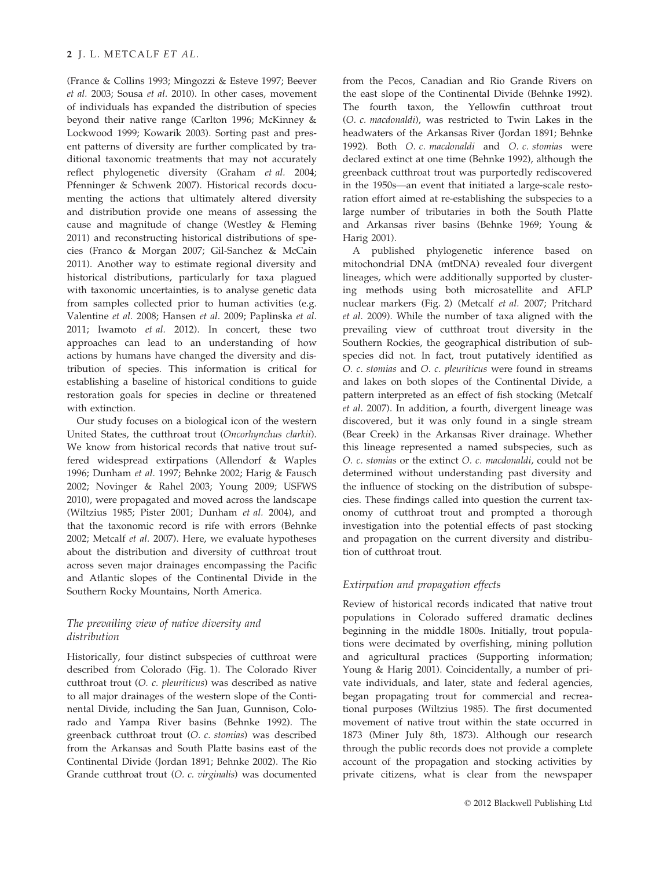(France & Collins 1993; Mingozzi & Esteve 1997; Beever et al. 2003; Sousa et al. 2010). In other cases, movement of individuals has expanded the distribution of species beyond their native range (Carlton 1996; McKinney & Lockwood 1999; Kowarik 2003). Sorting past and present patterns of diversity are further complicated by traditional taxonomic treatments that may not accurately reflect phylogenetic diversity (Graham et al. 2004; Pfenninger & Schwenk 2007). Historical records documenting the actions that ultimately altered diversity and distribution provide one means of assessing the cause and magnitude of change (Westley & Fleming 2011) and reconstructing historical distributions of species (Franco & Morgan 2007; Gil-Sanchez & McCain 2011). Another way to estimate regional diversity and historical distributions, particularly for taxa plagued with taxonomic uncertainties, is to analyse genetic data from samples collected prior to human activities (e.g. Valentine et al. 2008; Hansen et al. 2009; Paplinska et al. 2011; Iwamoto et al. 2012). In concert, these two approaches can lead to an understanding of how actions by humans have changed the diversity and distribution of species. This information is critical for establishing a baseline of historical conditions to guide restoration goals for species in decline or threatened with extinction.

Our study focuses on a biological icon of the western United States, the cutthroat trout (Oncorhynchus clarkii). We know from historical records that native trout suffered widespread extirpations (Allendorf & Waples 1996; Dunham et al. 1997; Behnke 2002; Harig & Fausch 2002; Novinger & Rahel 2003; Young 2009; USFWS 2010), were propagated and moved across the landscape (Wiltzius 1985; Pister 2001; Dunham et al. 2004), and that the taxonomic record is rife with errors (Behnke 2002; Metcalf et al. 2007). Here, we evaluate hypotheses about the distribution and diversity of cutthroat trout across seven major drainages encompassing the Pacific and Atlantic slopes of the Continental Divide in the Southern Rocky Mountains, North America.

## The prevailing view of native diversity and distribution

Historically, four distinct subspecies of cutthroat were described from Colorado (Fig. 1). The Colorado River cutthroat trout (O. c. pleuriticus) was described as native to all major drainages of the western slope of the Continental Divide, including the San Juan, Gunnison, Colorado and Yampa River basins (Behnke 1992). The greenback cutthroat trout (O. c. stomias) was described from the Arkansas and South Platte basins east of the Continental Divide (Jordan 1891; Behnke 2002). The Rio Grande cutthroat trout (O. c. virginalis) was documented

from the Pecos, Canadian and Rio Grande Rivers on the east slope of the Continental Divide (Behnke 1992). The fourth taxon, the Yellowfin cutthroat trout (O. c. macdonaldi), was restricted to Twin Lakes in the headwaters of the Arkansas River (Jordan 1891; Behnke 1992). Both O. c. macdonaldi and O. c. stomias were declared extinct at one time (Behnke 1992), although the greenback cutthroat trout was purportedly rediscovered in the 1950s—an event that initiated a large-scale restoration effort aimed at re-establishing the subspecies to a large number of tributaries in both the South Platte and Arkansas river basins (Behnke 1969; Young & Harig 2001).

A published phylogenetic inference based on mitochondrial DNA (mtDNA) revealed four divergent lineages, which were additionally supported by clustering methods using both microsatellite and AFLP nuclear markers (Fig. 2) (Metcalf et al. 2007; Pritchard et al. 2009). While the number of taxa aligned with the prevailing view of cutthroat trout diversity in the Southern Rockies, the geographical distribution of subspecies did not. In fact, trout putatively identified as O. c. stomias and O. c. pleuriticus were found in streams and lakes on both slopes of the Continental Divide, a pattern interpreted as an effect of fish stocking (Metcalf et al. 2007). In addition, a fourth, divergent lineage was discovered, but it was only found in a single stream (Bear Creek) in the Arkansas River drainage. Whether this lineage represented a named subspecies, such as O. c. stomias or the extinct O. c. macdonaldi, could not be determined without understanding past diversity and the influence of stocking on the distribution of subspecies. These findings called into question the current taxonomy of cutthroat trout and prompted a thorough investigation into the potential effects of past stocking and propagation on the current diversity and distribution of cutthroat trout.

# Extirpation and propagation effects

Review of historical records indicated that native trout populations in Colorado suffered dramatic declines beginning in the middle 1800s. Initially, trout populations were decimated by overfishing, mining pollution and agricultural practices (Supporting information; Young & Harig 2001). Coincidentally, a number of private individuals, and later, state and federal agencies, began propagating trout for commercial and recreational purposes (Wiltzius 1985). The first documented movement of native trout within the state occurred in 1873 (Miner July 8th, 1873). Although our research through the public records does not provide a complete account of the propagation and stocking activities by private citizens, what is clear from the newspaper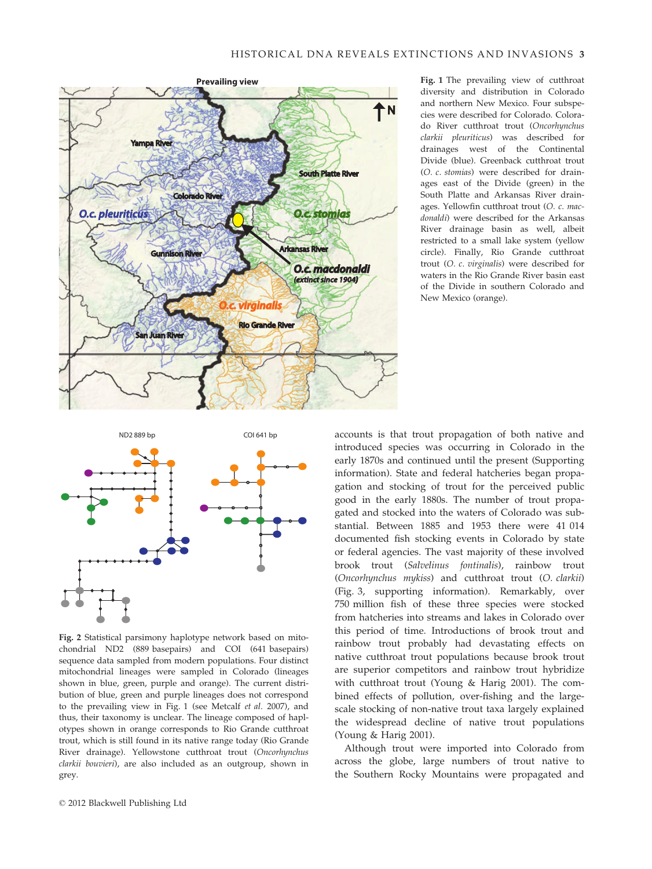

Fig. 1 The prevailing view of cutthroat diversity and distribution in Colorado and northern New Mexico. Four subspecies were described for Colorado. Colorado River cutthroat trout (Oncorhynchus clarkii pleuriticus) was described for drainages west of the Continental Divide (blue). Greenback cutthroat trout (O. c. stomias) were described for drainages east of the Divide (green) in the South Platte and Arkansas River drainages. Yellowfin cutthroat trout (O. c. macdonaldi) were described for the Arkansas River drainage basin as well, albeit restricted to a small lake system (yellow circle). Finally, Rio Grande cutthroat trout (O. c. virginalis) were described for waters in the Rio Grande River basin east of the Divide in southern Colorado and New Mexico (orange).



Fig. 2 Statistical parsimony haplotype network based on mitochondrial ND2 (889 basepairs) and COI (641 basepairs) sequence data sampled from modern populations. Four distinct mitochondrial lineages were sampled in Colorado (lineages shown in blue, green, purple and orange). The current distribution of blue, green and purple lineages does not correspond to the prevailing view in Fig. 1 (see Metcalf et al. 2007), and thus, their taxonomy is unclear. The lineage composed of haplotypes shown in orange corresponds to Rio Grande cutthroat trout, which is still found in its native range today (Rio Grande River drainage). Yellowstone cutthroat trout (Oncorhynchus clarkii bouvieri), are also included as an outgroup, shown in grey.

accounts is that trout propagation of both native and introduced species was occurring in Colorado in the early 1870s and continued until the present (Supporting information). State and federal hatcheries began propagation and stocking of trout for the perceived public good in the early 1880s. The number of trout propagated and stocked into the waters of Colorado was substantial. Between 1885 and 1953 there were 41 014 documented fish stocking events in Colorado by state or federal agencies. The vast majority of these involved brook trout (Salvelinus fontinalis), rainbow trout (Oncorhynchus mykiss) and cutthroat trout (O. clarkii) (Fig. 3, supporting information). Remarkably, over 750 million fish of these three species were stocked from hatcheries into streams and lakes in Colorado over this period of time. Introductions of brook trout and rainbow trout probably had devastating effects on native cutthroat trout populations because brook trout are superior competitors and rainbow trout hybridize with cutthroat trout (Young & Harig 2001). The combined effects of pollution, over-fishing and the largescale stocking of non-native trout taxa largely explained the widespread decline of native trout populations (Young & Harig 2001).

Although trout were imported into Colorado from across the globe, large numbers of trout native to the Southern Rocky Mountains were propagated and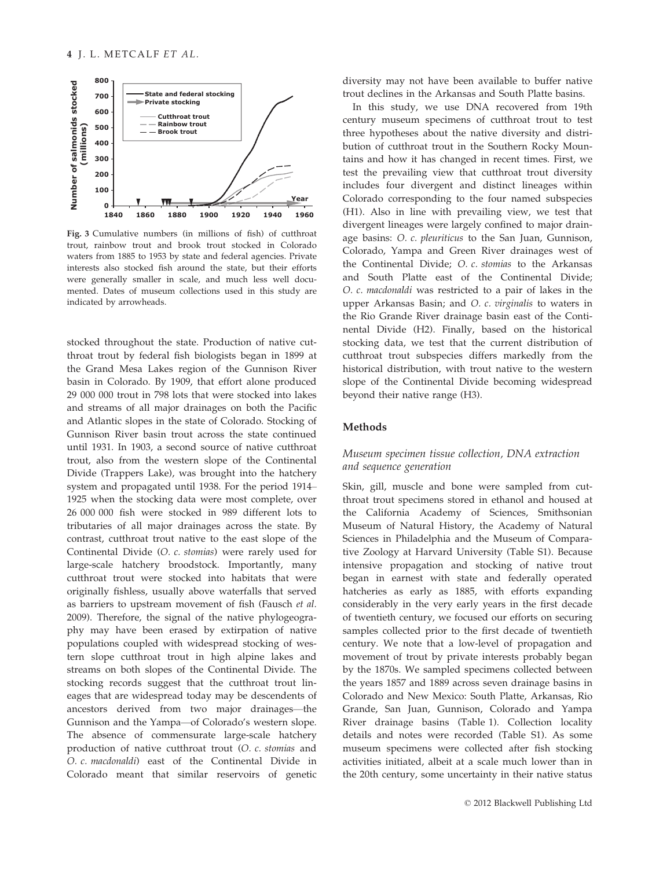

Fig. 3 Cumulative numbers (in millions of fish) of cutthroat trout, rainbow trout and brook trout stocked in Colorado waters from 1885 to 1953 by state and federal agencies. Private interests also stocked fish around the state, but their efforts were generally smaller in scale, and much less well documented. Dates of museum collections used in this study are indicated by arrowheads.

stocked throughout the state. Production of native cutthroat trout by federal fish biologists began in 1899 at the Grand Mesa Lakes region of the Gunnison River basin in Colorado. By 1909, that effort alone produced 29 000 000 trout in 798 lots that were stocked into lakes and streams of all major drainages on both the Pacific and Atlantic slopes in the state of Colorado. Stocking of Gunnison River basin trout across the state continued until 1931. In 1903, a second source of native cutthroat trout, also from the western slope of the Continental Divide (Trappers Lake), was brought into the hatchery system and propagated until 1938. For the period 1914– 1925 when the stocking data were most complete, over 26 000 000 fish were stocked in 989 different lots to tributaries of all major drainages across the state. By contrast, cutthroat trout native to the east slope of the Continental Divide (O. c. stomias) were rarely used for large-scale hatchery broodstock. Importantly, many cutthroat trout were stocked into habitats that were originally fishless, usually above waterfalls that served as barriers to upstream movement of fish (Fausch et al. 2009). Therefore, the signal of the native phylogeography may have been erased by extirpation of native populations coupled with widespread stocking of western slope cutthroat trout in high alpine lakes and streams on both slopes of the Continental Divide. The stocking records suggest that the cutthroat trout lineages that are widespread today may be descendents of ancestors derived from two major drainages—the Gunnison and the Yampa—of Colorado's western slope. The absence of commensurate large-scale hatchery production of native cutthroat trout (O. c. stomias and O. c. macdonaldi) east of the Continental Divide in Colorado meant that similar reservoirs of genetic

diversity may not have been available to buffer native trout declines in the Arkansas and South Platte basins.

In this study, we use DNA recovered from 19th century museum specimens of cutthroat trout to test three hypotheses about the native diversity and distribution of cutthroat trout in the Southern Rocky Mountains and how it has changed in recent times. First, we test the prevailing view that cutthroat trout diversity includes four divergent and distinct lineages within Colorado corresponding to the four named subspecies (H1). Also in line with prevailing view, we test that divergent lineages were largely confined to major drainage basins: O. c. pleuriticus to the San Juan, Gunnison, Colorado, Yampa and Green River drainages west of the Continental Divide; O. c. stomias to the Arkansas and South Platte east of the Continental Divide; O. c. macdonaldi was restricted to a pair of lakes in the upper Arkansas Basin; and O. c. virginalis to waters in the Rio Grande River drainage basin east of the Continental Divide (H2). Finally, based on the historical stocking data, we test that the current distribution of cutthroat trout subspecies differs markedly from the historical distribution, with trout native to the western slope of the Continental Divide becoming widespread beyond their native range (H3).

# Methods

#### Museum specimen tissue collection, DNA extraction and sequence generation

Skin, gill, muscle and bone were sampled from cutthroat trout specimens stored in ethanol and housed at the California Academy of Sciences, Smithsonian Museum of Natural History, the Academy of Natural Sciences in Philadelphia and the Museum of Comparative Zoology at Harvard University (Table S1). Because intensive propagation and stocking of native trout began in earnest with state and federally operated hatcheries as early as 1885, with efforts expanding considerably in the very early years in the first decade of twentieth century, we focused our efforts on securing samples collected prior to the first decade of twentieth century. We note that a low-level of propagation and movement of trout by private interests probably began by the 1870s. We sampled specimens collected between the years 1857 and 1889 across seven drainage basins in Colorado and New Mexico: South Platte, Arkansas, Rio Grande, San Juan, Gunnison, Colorado and Yampa River drainage basins (Table 1). Collection locality details and notes were recorded (Table S1). As some museum specimens were collected after fish stocking activities initiated, albeit at a scale much lower than in the 20th century, some uncertainty in their native status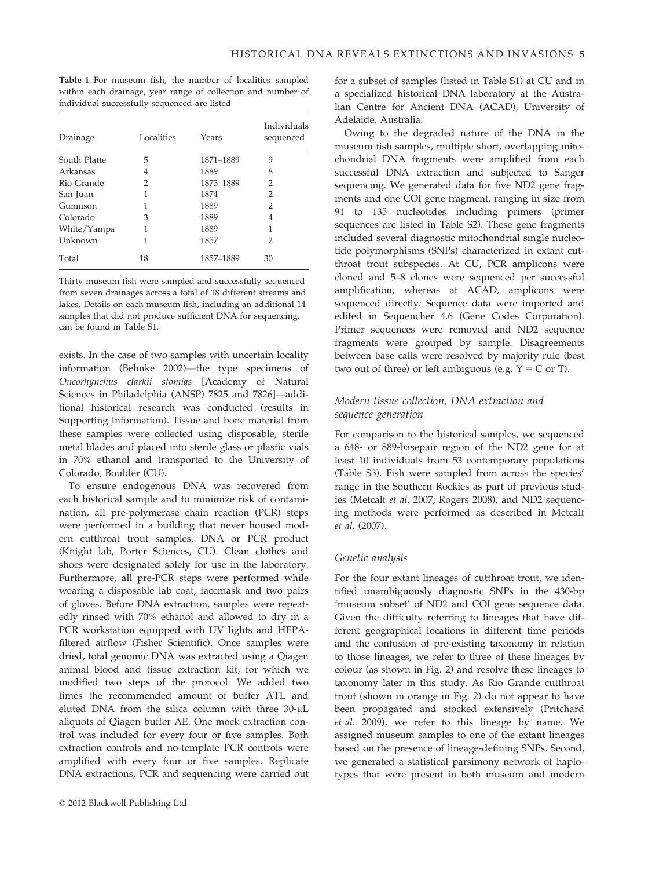Table 1 For museum fish, the number of localities sampled within each drainage, year range of collection and number of individual successfully sequenced are listed

| Drainage     | Localities | Years     | Individuals<br>sequenced |
|--------------|------------|-----------|--------------------------|
| South Platte | 5          | 1871-1889 | 9                        |
| Arkansas     | 4          | 1889      | 8                        |
| Rio Grande   | 2          | 1873-1889 | 2                        |
| San Juan     | 1          | 1874      | $\overline{2}$           |
| Gunnison     | 1          | 1889      | $\overline{2}$           |
| Colorado     | 3          | 1889      | 4                        |
| White/Yampa  | 1          | 1889      | 1                        |
| Unknown      | 1          | 1857      | 2                        |
| Total        | 18         | 1857-1889 | 30                       |

Thirty museum fish were sampled and successfully sequenced from seven drainages across a total of 18 different streams and lakes. Details on each museum fish, including an additional 14 samples that did not produce sufficient DNA for sequencing, can be found in Table S1.

exists. In the case of two samples with uncertain locality information (Behnke 2002)—the type specimens of Oncorhynchus clarkii stomias [Academy of Natural Sciences in Philadelphia (ANSP) 7825 and 7826]—additional historical research was conducted (results in Supporting Information). Tissue and bone material from these samples were collected using disposable, sterile metal blades and placed into sterile glass or plastic vials in 70% ethanol and transported to the University of Colorado, Boulder (CU).

To ensure endogenous DNA was recovered from each historical sample and to minimize risk of contamination, all pre-polymerase chain reaction (PCR) steps were performed in a building that never housed modern cutthroat trout samples, DNA or PCR product (Knight lab, Porter Sciences, CU). Clean clothes and shoes were designated solely for use in the laboratory. Furthermore, all pre-PCR steps were performed while wearing a disposable lab coat, facemask and two pairs of gloves. Before DNA extraction, samples were repeatedly rinsed with 70% ethanol and allowed to dry in a PCR workstation equipped with UV lights and HEPAfiltered airflow (Fisher Scientific). Once samples were dried, total genomic DNA was extracted using a Qiagen animal blood and tissue extraction kit, for which we modified two steps of the protocol. We added two times the recommended amount of buffer ATL and eluted DNA from the silica column with three 30-µL aliquots of Qiagen buffer AE. One mock extraction control was included for every four or five samples. Both extraction controls and no-template PCR controls were amplified with every four or five samples. Replicate DNA extractions, PCR and sequencing were carried out for a subset of samples (listed in Table S1) at CU and in a specialized historical DNA laboratory at the Australian Centre for Ancient DNA (ACAD), University of Adelaide, Australia.

Owing to the degraded nature of the DNA in the museum fish samples, multiple short, overlapping mitochondrial DNA fragments were amplified from each successful DNA extraction and subjected to Sanger sequencing. We generated data for five ND2 gene fragments and one COI gene fragment, ranging in size from 91 to 135 nucleotides including primers (primer sequences are listed in Table S2). These gene fragments included several diagnostic mitochondrial single nucleotide polymorphisms (SNPs) characterized in extant cutthroat trout subspecies. At CU, PCR amplicons were cloned and 5–8 clones were sequenced per successful amplification, whereas at ACAD, amplicons were sequenced directly. Sequence data were imported and edited in Sequencher 4.6 (Gene Codes Corporation). Primer sequences were removed and ND2 sequence fragments were grouped by sample. Disagreements between base calls were resolved by majority rule (best two out of three) or left ambiguous (e.g.  $Y = C$  or T).

## Modern tissue collection, DNA extraction and sequence generation

For comparison to the historical samples, we sequenced a 648- or 889-basepair region of the ND2 gene for at least 10 individuals from 53 contemporary populations (Table S3). Fish were sampled from across the species' range in the Southern Rockies as part of previous studies (Metcalf et al. 2007; Rogers 2008), and ND2 sequencing methods were performed as described in Metcalf et al. (2007).

#### Genetic analysis

For the four extant lineages of cutthroat trout, we identified unambiguously diagnostic SNPs in the 430-bp 'museum subset' of ND2 and COI gene sequence data. Given the difficulty referring to lineages that have different geographical locations in different time periods and the confusion of pre-existing taxonomy in relation to those lineages, we refer to three of these lineages by colour (as shown in Fig. 2) and resolve these lineages to taxonomy later in this study. As Rio Grande cutthroat trout (shown in orange in Fig. 2) do not appear to have been propagated and stocked extensively (Pritchard et al. 2009), we refer to this lineage by name. We assigned museum samples to one of the extant lineages based on the presence of lineage-defining SNPs. Second, we generated a statistical parsimony network of haplotypes that were present in both museum and modern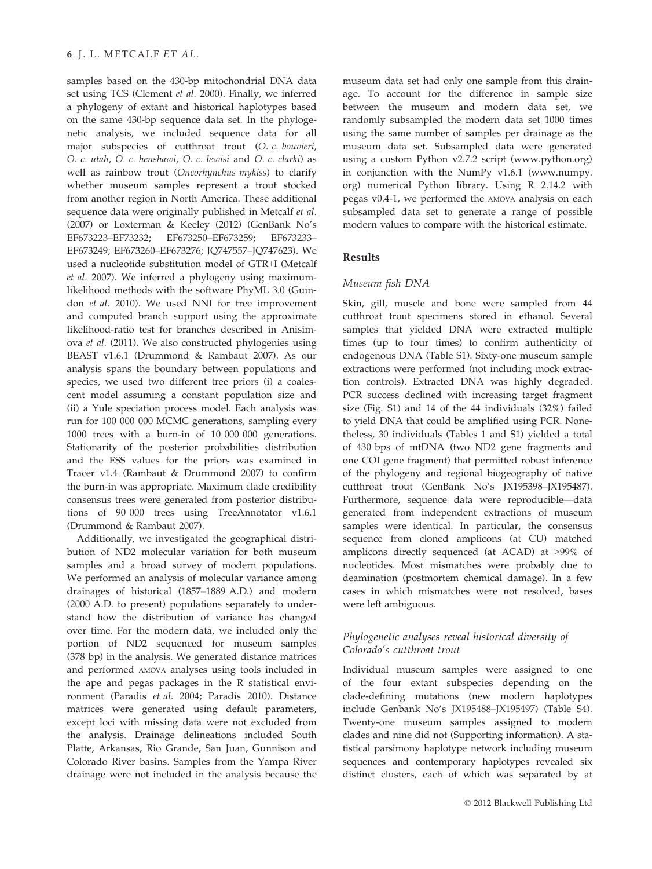samples based on the 430-bp mitochondrial DNA data set using TCS (Clement et al. 2000). Finally, we inferred a phylogeny of extant and historical haplotypes based on the same 430-bp sequence data set. In the phylogenetic analysis, we included sequence data for all major subspecies of cutthroat trout (O. c. bouvieri, O. c. utah, O. c. henshawi, O. c. lewisi and O. c. clarki) as well as rainbow trout (Oncorhynchus mykiss) to clarify whether museum samples represent a trout stocked from another region in North America. These additional sequence data were originally published in Metcalf et al. (2007) or Loxterman & Keeley (2012) (GenBank No's EF673223–EF73232; EF673250–EF673259; EF673233– EF673249; EF673260–EF673276; JQ747557–JQ747623). We used a nucleotide substitution model of GTR+I (Metcalf et al. 2007). We inferred a phylogeny using maximumlikelihood methods with the software PhyML 3.0 (Guindon et al. 2010). We used NNI for tree improvement and computed branch support using the approximate likelihood-ratio test for branches described in Anisimova et al. (2011). We also constructed phylogenies using BEAST v1.6.1 (Drummond & Rambaut 2007). As our analysis spans the boundary between populations and species, we used two different tree priors (i) a coalescent model assuming a constant population size and (ii) a Yule speciation process model. Each analysis was run for 100 000 000 MCMC generations, sampling every 1000 trees with a burn-in of 10 000 000 generations. Stationarity of the posterior probabilities distribution and the ESS values for the priors was examined in Tracer v1.4 (Rambaut & Drummond 2007) to confirm the burn-in was appropriate. Maximum clade credibility consensus trees were generated from posterior distributions of 90 000 trees using TreeAnnotator v1.6.1 (Drummond & Rambaut 2007).

Additionally, we investigated the geographical distribution of ND2 molecular variation for both museum samples and a broad survey of modern populations. We performed an analysis of molecular variance among drainages of historical (1857–1889 A.D.) and modern (2000 A.D. to present) populations separately to understand how the distribution of variance has changed over time. For the modern data, we included only the portion of ND2 sequenced for museum samples (378 bp) in the analysis. We generated distance matrices and performed AMOVA analyses using tools included in the ape and pegas packages in the R statistical environment (Paradis et al. 2004; Paradis 2010). Distance matrices were generated using default parameters, except loci with missing data were not excluded from the analysis. Drainage delineations included South Platte, Arkansas, Rio Grande, San Juan, Gunnison and Colorado River basins. Samples from the Yampa River drainage were not included in the analysis because the

museum data set had only one sample from this drainage. To account for the difference in sample size between the museum and modern data set, we randomly subsampled the modern data set 1000 times using the same number of samples per drainage as the museum data set. Subsampled data were generated using a custom Python v2.7.2 script (www.python.org) in conjunction with the NumPy v1.6.1 (www.numpy. org) numerical Python library. Using R 2.14.2 with pegas v0.4-1, we performed the AMOVA analysis on each subsampled data set to generate a range of possible modern values to compare with the historical estimate.

## Results

#### Museum fish DNA

Skin, gill, muscle and bone were sampled from 44 cutthroat trout specimens stored in ethanol. Several samples that yielded DNA were extracted multiple times (up to four times) to confirm authenticity of endogenous DNA (Table S1). Sixty-one museum sample extractions were performed (not including mock extraction controls). Extracted DNA was highly degraded. PCR success declined with increasing target fragment size (Fig. S1) and 14 of the 44 individuals (32%) failed to yield DNA that could be amplified using PCR. Nonetheless, 30 individuals (Tables 1 and S1) yielded a total of 430 bps of mtDNA (two ND2 gene fragments and one COI gene fragment) that permitted robust inference of the phylogeny and regional biogeography of native cutthroat trout (GenBank No's JX195398–JX195487). Furthermore, sequence data were reproducible—data generated from independent extractions of museum samples were identical. In particular, the consensus sequence from cloned amplicons (at CU) matched amplicons directly sequenced (at ACAD) at >99% of nucleotides. Most mismatches were probably due to deamination (postmortem chemical damage). In a few cases in which mismatches were not resolved, bases were left ambiguous.

## Phylogenetic analyses reveal historical diversity of Colorado's cutthroat trout

Individual museum samples were assigned to one of the four extant subspecies depending on the clade-defining mutations (new modern haplotypes include Genbank No's JX195488–JX195497) (Table S4). Twenty-one museum samples assigned to modern clades and nine did not (Supporting information). A statistical parsimony haplotype network including museum sequences and contemporary haplotypes revealed six distinct clusters, each of which was separated by at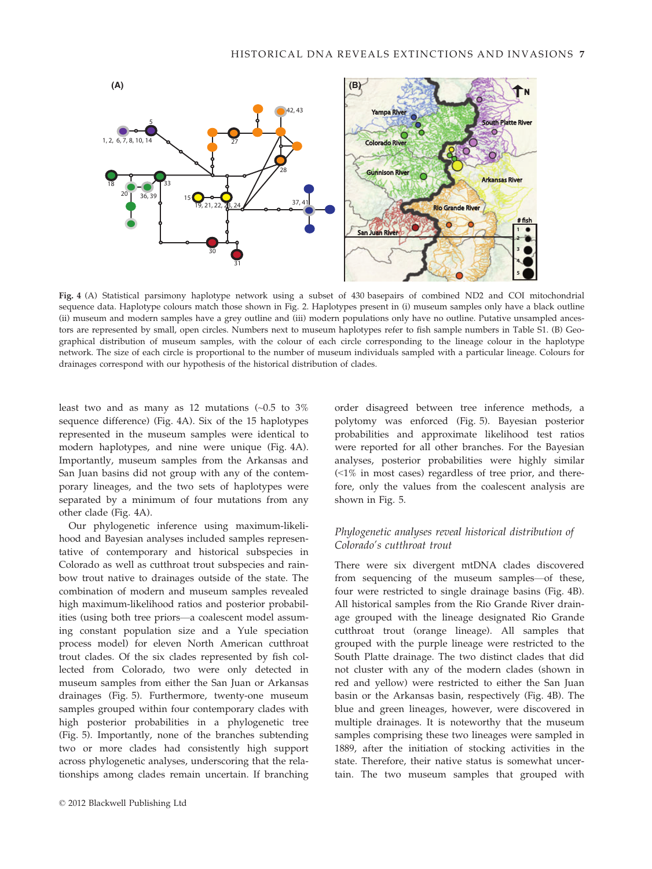

Fig. 4 (A) Statistical parsimony haplotype network using a subset of 430 basepairs of combined ND2 and COI mitochondrial sequence data. Haplotype colours match those shown in Fig. 2. Haplotypes present in (i) museum samples only have a black outline (ii) museum and modern samples have a grey outline and (iii) modern populations only have no outline. Putative unsampled ancestors are represented by small, open circles. Numbers next to museum haplotypes refer to fish sample numbers in Table S1. (B) Geographical distribution of museum samples, with the colour of each circle corresponding to the lineage colour in the haplotype network. The size of each circle is proportional to the number of museum individuals sampled with a particular lineage. Colours for drainages correspond with our hypothesis of the historical distribution of clades.

least two and as many as 12 mutations  $(\sim 0.5$  to 3% sequence difference) (Fig. 4A). Six of the 15 haplotypes represented in the museum samples were identical to modern haplotypes, and nine were unique (Fig. 4A). Importantly, museum samples from the Arkansas and San Juan basins did not group with any of the contemporary lineages, and the two sets of haplotypes were separated by a minimum of four mutations from any other clade (Fig. 4A).

Our phylogenetic inference using maximum-likelihood and Bayesian analyses included samples representative of contemporary and historical subspecies in Colorado as well as cutthroat trout subspecies and rainbow trout native to drainages outside of the state. The combination of modern and museum samples revealed high maximum-likelihood ratios and posterior probabilities (using both tree priors—a coalescent model assuming constant population size and a Yule speciation process model) for eleven North American cutthroat trout clades. Of the six clades represented by fish collected from Colorado, two were only detected in museum samples from either the San Juan or Arkansas drainages (Fig. 5). Furthermore, twenty-one museum samples grouped within four contemporary clades with high posterior probabilities in a phylogenetic tree (Fig. 5). Importantly, none of the branches subtending two or more clades had consistently high support across phylogenetic analyses, underscoring that the relationships among clades remain uncertain. If branching order disagreed between tree inference methods, a polytomy was enforced (Fig. 5). Bayesian posterior probabilities and approximate likelihood test ratios were reported for all other branches. For the Bayesian analyses, posterior probabilities were highly similar (<1% in most cases) regardless of tree prior, and therefore, only the values from the coalescent analysis are shown in Fig. 5.

## Phylogenetic analyses reveal historical distribution of Colorado's cutthroat trout

There were six divergent mtDNA clades discovered from sequencing of the museum samples—of these, four were restricted to single drainage basins (Fig. 4B). All historical samples from the Rio Grande River drainage grouped with the lineage designated Rio Grande cutthroat trout (orange lineage). All samples that grouped with the purple lineage were restricted to the South Platte drainage. The two distinct clades that did not cluster with any of the modern clades (shown in red and yellow) were restricted to either the San Juan basin or the Arkansas basin, respectively (Fig. 4B). The blue and green lineages, however, were discovered in multiple drainages. It is noteworthy that the museum samples comprising these two lineages were sampled in 1889, after the initiation of stocking activities in the state. Therefore, their native status is somewhat uncertain. The two museum samples that grouped with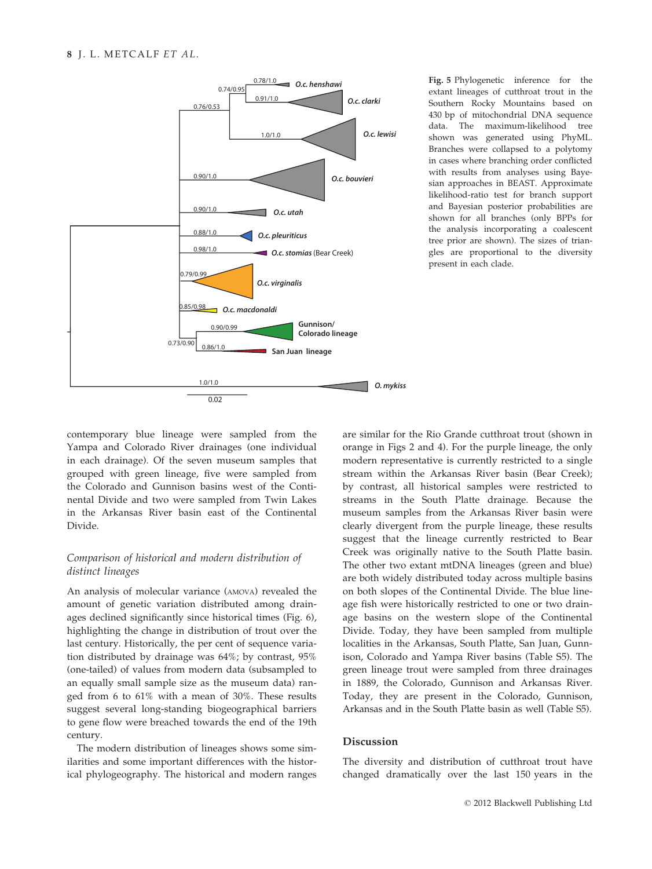

Fig. 5 Phylogenetic inference for the extant lineages of cutthroat trout in the Southern Rocky Mountains based on 430 bp of mitochondrial DNA sequence data. The maximum-likelihood tree shown was generated using PhyML. Branches were collapsed to a polytomy in cases where branching order conflicted with results from analyses using Bayesian approaches in BEAST. Approximate likelihood-ratio test for branch support and Bayesian posterior probabilities are shown for all branches (only BPPs for the analysis incorporating a coalescent tree prior are shown). The sizes of triangles are proportional to the diversity present in each clade.

contemporary blue lineage were sampled from the Yampa and Colorado River drainages (one individual in each drainage). Of the seven museum samples that grouped with green lineage, five were sampled from the Colorado and Gunnison basins west of the Continental Divide and two were sampled from Twin Lakes in the Arkansas River basin east of the Continental Divide.

# Comparison of historical and modern distribution of distinct lineages

An analysis of molecular variance (AMOVA) revealed the amount of genetic variation distributed among drainages declined significantly since historical times (Fig. 6), highlighting the change in distribution of trout over the last century. Historically, the per cent of sequence variation distributed by drainage was 64%; by contrast, 95% (one-tailed) of values from modern data (subsampled to an equally small sample size as the museum data) ranged from 6 to 61% with a mean of 30%. These results suggest several long-standing biogeographical barriers to gene flow were breached towards the end of the 19th century.

The modern distribution of lineages shows some similarities and some important differences with the historical phylogeography. The historical and modern ranges

are similar for the Rio Grande cutthroat trout (shown in orange in Figs 2 and 4). For the purple lineage, the only modern representative is currently restricted to a single stream within the Arkansas River basin (Bear Creek); by contrast, all historical samples were restricted to streams in the South Platte drainage. Because the museum samples from the Arkansas River basin were clearly divergent from the purple lineage, these results suggest that the lineage currently restricted to Bear Creek was originally native to the South Platte basin. The other two extant mtDNA lineages (green and blue) are both widely distributed today across multiple basins on both slopes of the Continental Divide. The blue lineage fish were historically restricted to one or two drainage basins on the western slope of the Continental Divide. Today, they have been sampled from multiple localities in the Arkansas, South Platte, San Juan, Gunnison, Colorado and Yampa River basins (Table S5). The green lineage trout were sampled from three drainages in 1889, the Colorado, Gunnison and Arkansas River. Today, they are present in the Colorado, Gunnison, Arkansas and in the South Platte basin as well (Table S5).

#### Discussion

The diversity and distribution of cutthroat trout have changed dramatically over the last 150 years in the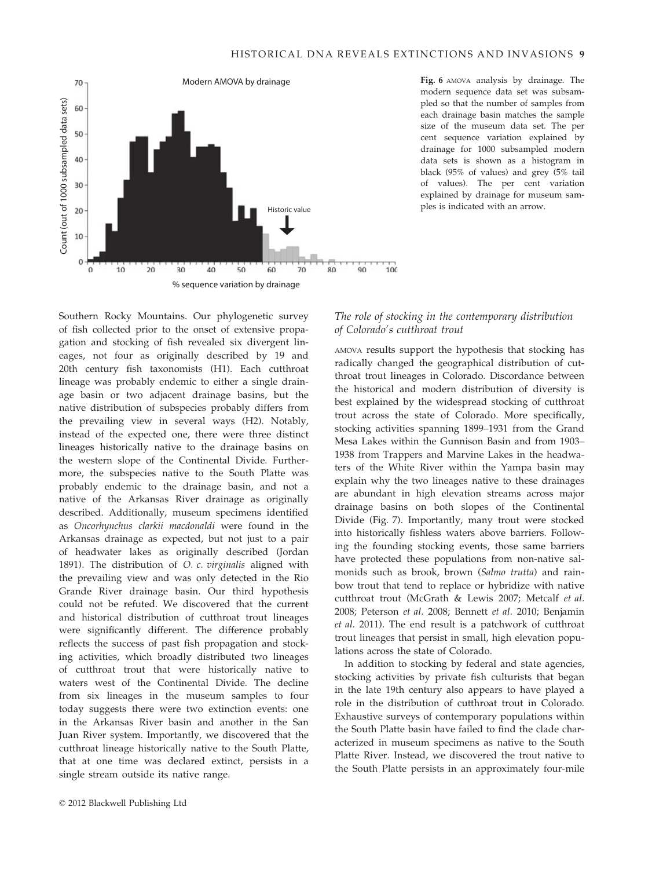

modern sequence data set was subsampled so that the number of samples from each drainage basin matches the sample size of the museum data set. The per cent sequence variation explained by drainage for 1000 subsampled modern data sets is shown as a histogram in black (95% of values) and grey (5% tail of values). The per cent variation explained by drainage for museum samples is indicated with an arrow.

Southern Rocky Mountains. Our phylogenetic survey of fish collected prior to the onset of extensive propagation and stocking of fish revealed six divergent lineages, not four as originally described by 19 and 20th century fish taxonomists (H1). Each cutthroat lineage was probably endemic to either a single drainage basin or two adjacent drainage basins, but the native distribution of subspecies probably differs from the prevailing view in several ways (H2). Notably, instead of the expected one, there were three distinct lineages historically native to the drainage basins on the western slope of the Continental Divide. Furthermore, the subspecies native to the South Platte was probably endemic to the drainage basin, and not a native of the Arkansas River drainage as originally described. Additionally, museum specimens identified as Oncorhynchus clarkii macdonaldi were found in the Arkansas drainage as expected, but not just to a pair of headwater lakes as originally described (Jordan 1891). The distribution of O. c. virginalis aligned with the prevailing view and was only detected in the Rio Grande River drainage basin. Our third hypothesis could not be refuted. We discovered that the current and historical distribution of cutthroat trout lineages were significantly different. The difference probably reflects the success of past fish propagation and stocking activities, which broadly distributed two lineages of cutthroat trout that were historically native to waters west of the Continental Divide. The decline from six lineages in the museum samples to four today suggests there were two extinction events: one in the Arkansas River basin and another in the San Juan River system. Importantly, we discovered that the cutthroat lineage historically native to the South Platte, that at one time was declared extinct, persists in a single stream outside its native range.

## The role of stocking in the contemporary distribution of Colorado's cutthroat trout

AMOVA results support the hypothesis that stocking has radically changed the geographical distribution of cutthroat trout lineages in Colorado. Discordance between the historical and modern distribution of diversity is best explained by the widespread stocking of cutthroat trout across the state of Colorado. More specifically, stocking activities spanning 1899–1931 from the Grand Mesa Lakes within the Gunnison Basin and from 1903– 1938 from Trappers and Marvine Lakes in the headwaters of the White River within the Yampa basin may explain why the two lineages native to these drainages are abundant in high elevation streams across major drainage basins on both slopes of the Continental Divide (Fig. 7). Importantly, many trout were stocked into historically fishless waters above barriers. Following the founding stocking events, those same barriers have protected these populations from non-native salmonids such as brook, brown (Salmo trutta) and rainbow trout that tend to replace or hybridize with native cutthroat trout (McGrath & Lewis 2007; Metcalf et al. 2008; Peterson et al. 2008; Bennett et al. 2010; Benjamin et al. 2011). The end result is a patchwork of cutthroat trout lineages that persist in small, high elevation populations across the state of Colorado.

In addition to stocking by federal and state agencies, stocking activities by private fish culturists that began in the late 19th century also appears to have played a role in the distribution of cutthroat trout in Colorado. Exhaustive surveys of contemporary populations within the South Platte basin have failed to find the clade characterized in museum specimens as native to the South Platte River. Instead, we discovered the trout native to the South Platte persists in an approximately four-mile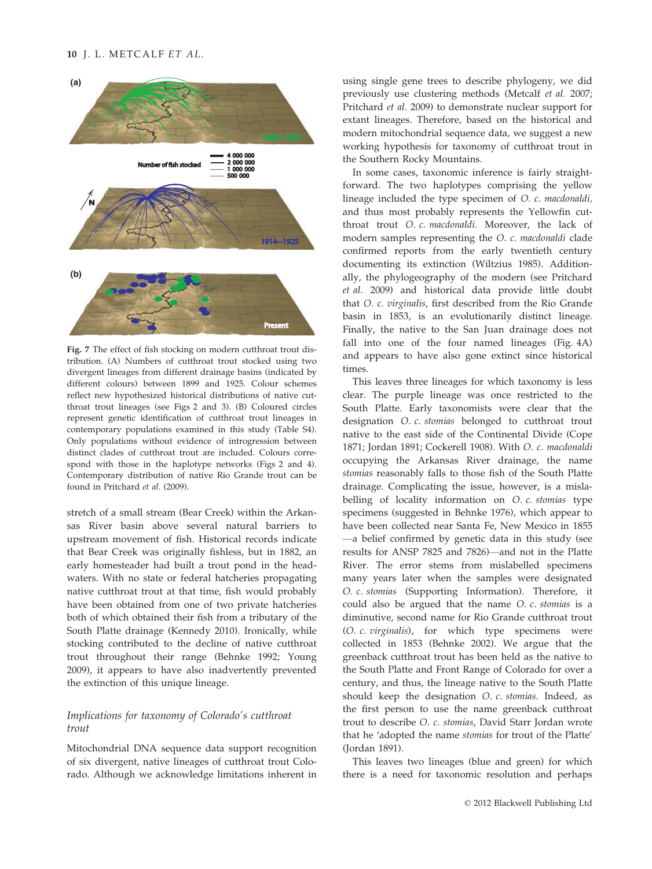

Fig. 7 The effect of fish stocking on modern cutthroat trout distribution. (A) Numbers of cutthroat trout stocked using two divergent lineages from different drainage basins (indicated by different colours) between 1899 and 1925. Colour schemes reflect new hypothesized historical distributions of native cutthroat trout lineages (see Figs 2 and 3). (B) Coloured circles represent genetic identification of cutthroat trout lineages in contemporary populations examined in this study (Table S4). Only populations without evidence of introgression between distinct clades of cutthroat trout are included. Colours correspond with those in the haplotype networks (Figs 2 and 4). Contemporary distribution of native Rio Grande trout can be found in Pritchard et al. (2009).

stretch of a small stream (Bear Creek) within the Arkansas River basin above several natural barriers to upstream movement of fish. Historical records indicate that Bear Creek was originally fishless, but in 1882, an early homesteader had built a trout pond in the headwaters. With no state or federal hatcheries propagating native cutthroat trout at that time, fish would probably have been obtained from one of two private hatcheries both of which obtained their fish from a tributary of the South Platte drainage (Kennedy 2010). Ironically, while stocking contributed to the decline of native cutthroat trout throughout their range (Behnke 1992; Young 2009), it appears to have also inadvertently prevented the extinction of this unique lineage.

## Implications for taxonomy of Colorado's cutthroat trout

Mitochondrial DNA sequence data support recognition of six divergent, native lineages of cutthroat trout Colorado. Although we acknowledge limitations inherent in using single gene trees to describe phylogeny, we did previously use clustering methods (Metcalf et al. 2007; Pritchard et al. 2009) to demonstrate nuclear support for extant lineages. Therefore, based on the historical and modern mitochondrial sequence data, we suggest a new working hypothesis for taxonomy of cutthroat trout in the Southern Rocky Mountains.

In some cases, taxonomic inference is fairly straightforward. The two haplotypes comprising the yellow lineage included the type specimen of O. c. macdonaldi, and thus most probably represents the Yellowfin cutthroat trout O. c. macdonaldi. Moreover, the lack of modern samples representing the O. c. macdonaldi clade confirmed reports from the early twentieth century documenting its extinction (Wiltzius 1985). Additionally, the phylogeography of the modern (see Pritchard et al. 2009) and historical data provide little doubt that O. c. virginalis, first described from the Rio Grande basin in 1853, is an evolutionarily distinct lineage. Finally, the native to the San Juan drainage does not fall into one of the four named lineages (Fig. 4A) and appears to have also gone extinct since historical times.

This leaves three lineages for which taxonomy is less clear. The purple lineage was once restricted to the South Platte. Early taxonomists were clear that the designation O. c. stomias belonged to cutthroat trout native to the east side of the Continental Divide (Cope 1871; Jordan 1891; Cockerell 1908). With O. c. macdonaldi occupying the Arkansas River drainage, the name stomias reasonably falls to those fish of the South Platte drainage. Complicating the issue, however, is a mislabelling of locality information on O. c. stomias type specimens (suggested in Behnke 1976), which appear to have been collected near Santa Fe, New Mexico in 1855 —a belief confirmed by genetic data in this study (see results for ANSP 7825 and 7826)—and not in the Platte River. The error stems from mislabelled specimens many years later when the samples were designated O. c. stomias (Supporting Information). Therefore, it could also be argued that the name O. c. stomias is a diminutive, second name for Rio Grande cutthroat trout (O. c. virginalis), for which type specimens were collected in 1853 (Behnke 2002). We argue that the greenback cutthroat trout has been held as the native to the South Platte and Front Range of Colorado for over a century, and thus, the lineage native to the South Platte should keep the designation O. c. stomias. Indeed, as the first person to use the name greenback cutthroat trout to describe O. c. stomias, David Starr Jordan wrote that he 'adopted the name stomias for trout of the Platte' (Jordan 1891).

This leaves two lineages (blue and green) for which there is a need for taxonomic resolution and perhaps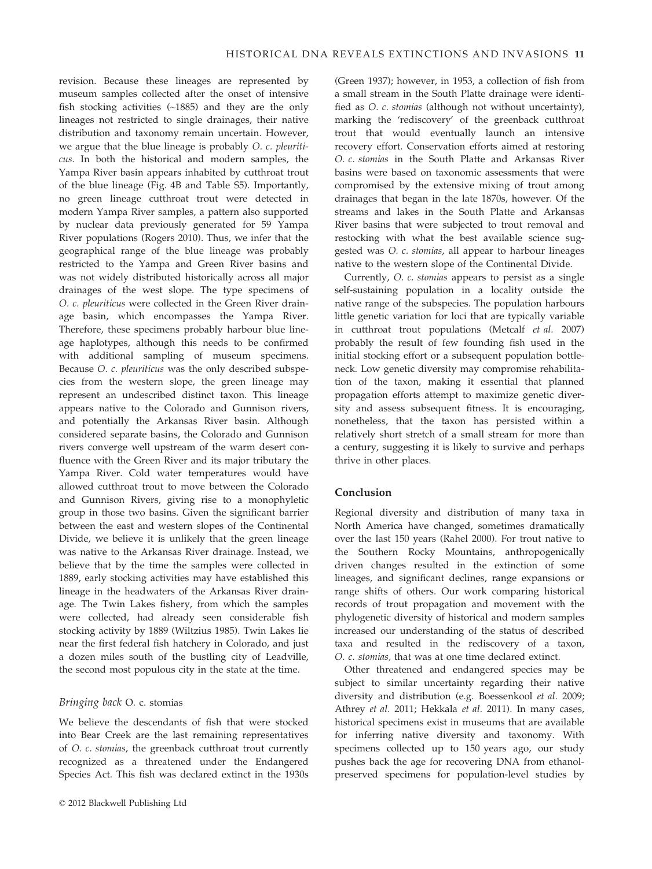revision. Because these lineages are represented by museum samples collected after the onset of intensive fish stocking activities (~1885) and they are the only lineages not restricted to single drainages, their native distribution and taxonomy remain uncertain. However, we argue that the blue lineage is probably O. c. pleuriticus. In both the historical and modern samples, the Yampa River basin appears inhabited by cutthroat trout of the blue lineage (Fig. 4B and Table S5). Importantly, no green lineage cutthroat trout were detected in modern Yampa River samples, a pattern also supported by nuclear data previously generated for 59 Yampa River populations (Rogers 2010). Thus, we infer that the geographical range of the blue lineage was probably restricted to the Yampa and Green River basins and was not widely distributed historically across all major drainages of the west slope. The type specimens of O. c. pleuriticus were collected in the Green River drainage basin, which encompasses the Yampa River. Therefore, these specimens probably harbour blue lineage haplotypes, although this needs to be confirmed with additional sampling of museum specimens. Because O. c. pleuriticus was the only described subspecies from the western slope, the green lineage may represent an undescribed distinct taxon. This lineage appears native to the Colorado and Gunnison rivers, and potentially the Arkansas River basin. Although considered separate basins, the Colorado and Gunnison rivers converge well upstream of the warm desert confluence with the Green River and its major tributary the Yampa River. Cold water temperatures would have allowed cutthroat trout to move between the Colorado and Gunnison Rivers, giving rise to a monophyletic group in those two basins. Given the significant barrier between the east and western slopes of the Continental Divide, we believe it is unlikely that the green lineage was native to the Arkansas River drainage. Instead, we believe that by the time the samples were collected in 1889, early stocking activities may have established this lineage in the headwaters of the Arkansas River drainage. The Twin Lakes fishery, from which the samples were collected, had already seen considerable fish stocking activity by 1889 (Wiltzius 1985). Twin Lakes lie near the first federal fish hatchery in Colorado, and just a dozen miles south of the bustling city of Leadville, the second most populous city in the state at the time.

# Bringing back O. c. stomias

We believe the descendants of fish that were stocked into Bear Creek are the last remaining representatives of O. c. stomias, the greenback cutthroat trout currently recognized as a threatened under the Endangered Species Act. This fish was declared extinct in the 1930s

(Green 1937); however, in 1953, a collection of fish from a small stream in the South Platte drainage were identified as O. c. stomias (although not without uncertainty), marking the 'rediscovery' of the greenback cutthroat trout that would eventually launch an intensive recovery effort. Conservation efforts aimed at restoring O. c. stomias in the South Platte and Arkansas River basins were based on taxonomic assessments that were compromised by the extensive mixing of trout among drainages that began in the late 1870s, however. Of the streams and lakes in the South Platte and Arkansas River basins that were subjected to trout removal and restocking with what the best available science suggested was O. c. stomias, all appear to harbour lineages native to the western slope of the Continental Divide.

Currently, O. c. stomias appears to persist as a single self-sustaining population in a locality outside the native range of the subspecies. The population harbours little genetic variation for loci that are typically variable in cutthroat trout populations (Metcalf et al. 2007) probably the result of few founding fish used in the initial stocking effort or a subsequent population bottleneck. Low genetic diversity may compromise rehabilitation of the taxon, making it essential that planned propagation efforts attempt to maximize genetic diversity and assess subsequent fitness. It is encouraging, nonetheless, that the taxon has persisted within a relatively short stretch of a small stream for more than a century, suggesting it is likely to survive and perhaps thrive in other places.

# Conclusion

Regional diversity and distribution of many taxa in North America have changed, sometimes dramatically over the last 150 years (Rahel 2000). For trout native to the Southern Rocky Mountains, anthropogenically driven changes resulted in the extinction of some lineages, and significant declines, range expansions or range shifts of others. Our work comparing historical records of trout propagation and movement with the phylogenetic diversity of historical and modern samples increased our understanding of the status of described taxa and resulted in the rediscovery of a taxon, O. c. stomias, that was at one time declared extinct.

Other threatened and endangered species may be subject to similar uncertainty regarding their native diversity and distribution (e.g. Boessenkool et al. 2009; Athrey et al. 2011; Hekkala et al. 2011). In many cases, historical specimens exist in museums that are available for inferring native diversity and taxonomy. With specimens collected up to 150 years ago, our study pushes back the age for recovering DNA from ethanolpreserved specimens for population-level studies by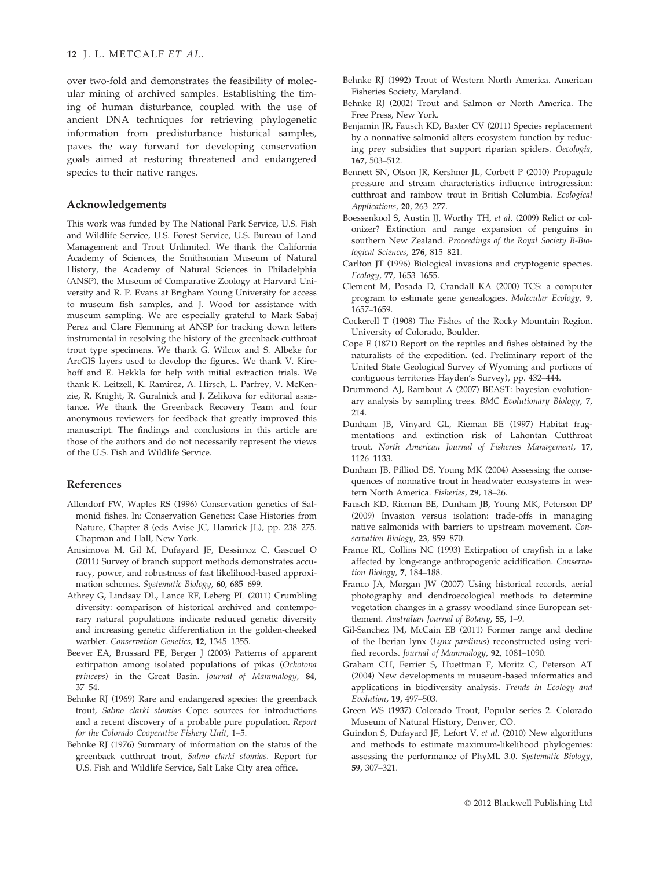over two-fold and demonstrates the feasibility of molecular mining of archived samples. Establishing the timing of human disturbance, coupled with the use of ancient DNA techniques for retrieving phylogenetic information from predisturbance historical samples, paves the way forward for developing conservation goals aimed at restoring threatened and endangered species to their native ranges.

#### Acknowledgements

This work was funded by The National Park Service, U.S. Fish and Wildlife Service, U.S. Forest Service, U.S. Bureau of Land Management and Trout Unlimited. We thank the California Academy of Sciences, the Smithsonian Museum of Natural History, the Academy of Natural Sciences in Philadelphia (ANSP), the Museum of Comparative Zoology at Harvard University and R. P. Evans at Brigham Young University for access to museum fish samples, and J. Wood for assistance with museum sampling. We are especially grateful to Mark Sabaj Perez and Clare Flemming at ANSP for tracking down letters instrumental in resolving the history of the greenback cutthroat trout type specimens. We thank G. Wilcox and S. Albeke for ArcGIS layers used to develop the figures. We thank V. Kirchoff and E. Hekkla for help with initial extraction trials. We thank K. Leitzell, K. Ramirez, A. Hirsch, L. Parfrey, V. McKenzie, R. Knight, R. Guralnick and J. Zelikova for editorial assistance. We thank the Greenback Recovery Team and four anonymous reviewers for feedback that greatly improved this manuscript. The findings and conclusions in this article are those of the authors and do not necessarily represent the views of the U.S. Fish and Wildlife Service.

#### References

- Allendorf FW, Waples RS (1996) Conservation genetics of Salmonid fishes. In: Conservation Genetics: Case Histories from Nature, Chapter 8 (eds Avise JC, Hamrick JL), pp. 238–275. Chapman and Hall, New York.
- Anisimova M, Gil M, Dufayard JF, Dessimoz C, Gascuel O (2011) Survey of branch support methods demonstrates accuracy, power, and robustness of fast likelihood-based approximation schemes. Systematic Biology, 60, 685–699.
- Athrey G, Lindsay DL, Lance RF, Leberg PL (2011) Crumbling diversity: comparison of historical archived and contemporary natural populations indicate reduced genetic diversity and increasing genetic differentiation in the golden-cheeked warbler. Conservation Genetics, 12, 1345–1355.
- Beever EA, Brussard PE, Berger J (2003) Patterns of apparent extirpation among isolated populations of pikas (Ochotona princeps) in the Great Basin. Journal of Mammalogy, 84, 37–54.
- Behnke RJ (1969) Rare and endangered species: the greenback trout, Salmo clarki stomias Cope: sources for introductions and a recent discovery of a probable pure population. Report for the Colorado Cooperative Fishery Unit, 1–5.
- Behnke RJ (1976) Summary of information on the status of the greenback cutthroat trout, Salmo clarki stomias. Report for U.S. Fish and Wildlife Service, Salt Lake City area office.
- Behnke RJ (1992) Trout of Western North America. American Fisheries Society, Maryland.
- Behnke RJ (2002) Trout and Salmon or North America. The Free Press, New York.
- Benjamin JR, Fausch KD, Baxter CV (2011) Species replacement by a nonnative salmonid alters ecosystem function by reducing prey subsidies that support riparian spiders. Oecologia, 167, 503–512.
- Bennett SN, Olson JR, Kershner JL, Corbett P (2010) Propagule pressure and stream characteristics influence introgression: cutthroat and rainbow trout in British Columbia. Ecological Applications, 20, 263–277.
- Boessenkool S, Austin JJ, Worthy TH, et al. (2009) Relict or colonizer? Extinction and range expansion of penguins in southern New Zealand. Proceedings of the Royal Society B-Biological Sciences, 276, 815–821.
- Carlton JT (1996) Biological invasions and cryptogenic species. Ecology, 77, 1653–1655.
- Clement M, Posada D, Crandall KA (2000) TCS: a computer program to estimate gene genealogies. Molecular Ecology, 9, 1657–1659.
- Cockerell T (1908) The Fishes of the Rocky Mountain Region. University of Colorado, Boulder.
- Cope E (1871) Report on the reptiles and fishes obtained by the naturalists of the expedition. (ed. Preliminary report of the United State Geological Survey of Wyoming and portions of contiguous territories Hayden's Survey), pp. 432–444.
- Drummond AJ, Rambaut A (2007) BEAST: bayesian evolutionary analysis by sampling trees. BMC Evolutionary Biology, 7, 214.
- Dunham JB, Vinyard GL, Rieman BE (1997) Habitat fragmentations and extinction risk of Lahontan Cutthroat trout. North American Journal of Fisheries Management, 17, 1126–1133.
- Dunham JB, Pilliod DS, Young MK (2004) Assessing the consequences of nonnative trout in headwater ecosystems in western North America. Fisheries, 29, 18–26.
- Fausch KD, Rieman BE, Dunham JB, Young MK, Peterson DP (2009) Invasion versus isolation: trade-offs in managing native salmonids with barriers to upstream movement. Conservation Biology, 23, 859-870.
- France RL, Collins NC (1993) Extirpation of crayfish in a lake affected by long-range anthropogenic acidification. Conservation Biology, 7, 184–188.
- Franco JA, Morgan JW (2007) Using historical records, aerial photography and dendroecological methods to determine vegetation changes in a grassy woodland since European settlement. Australian Journal of Botany, 55, 1–9.
- Gil-Sanchez JM, McCain EB (2011) Former range and decline of the Iberian lynx (Lynx pardinus) reconstructed using verified records. Journal of Mammalogy, 92, 1081–1090.
- Graham CH, Ferrier S, Huettman F, Moritz C, Peterson AT (2004) New developments in museum-based informatics and applications in biodiversity analysis. Trends in Ecology and Evolution, 19, 497–503.
- Green WS (1937) Colorado Trout, Popular series 2. Colorado Museum of Natural History, Denver, CO.
- Guindon S, Dufayard JF, Lefort V, et al. (2010) New algorithms and methods to estimate maximum-likelihood phylogenies: assessing the performance of PhyML 3.0. Systematic Biology, 59, 307–321.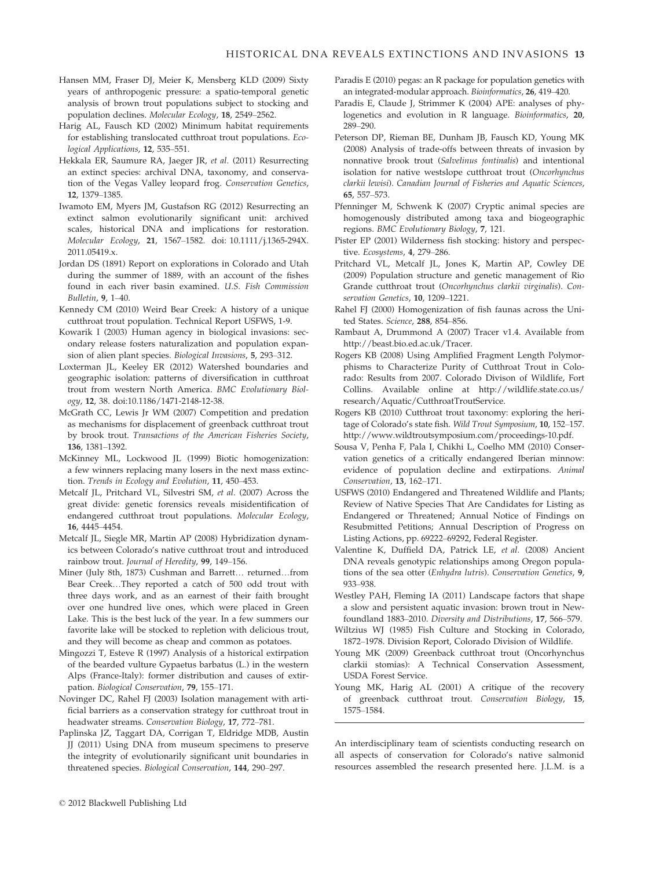- Hansen MM, Fraser DJ, Meier K, Mensberg KLD (2009) Sixty years of anthropogenic pressure: a spatio-temporal genetic analysis of brown trout populations subject to stocking and population declines. Molecular Ecology, 18, 2549–2562.
- Harig AL, Fausch KD (2002) Minimum habitat requirements for establishing translocated cutthroat trout populations. Ecological Applications, 12, 535–551.
- Hekkala ER, Saumure RA, Jaeger JR, et al. (2011) Resurrecting an extinct species: archival DNA, taxonomy, and conservation of the Vegas Valley leopard frog. Conservation Genetics, 12, 1379–1385.
- Iwamoto EM, Myers JM, Gustafson RG (2012) Resurrecting an extinct salmon evolutionarily significant unit: archived scales, historical DNA and implications for restoration. Molecular Ecology, 21, 1567–1582. doi: 10.1111/j.1365-294X. 2011.05419.x.
- Jordan DS (1891) Report on explorations in Colorado and Utah during the summer of 1889, with an account of the fishes found in each river basin examined. U.S. Fish Commission Bulletin, 9, 1–40.
- Kennedy CM (2010) Weird Bear Creek: A history of a unique cutthroat trout population. Technical Report USFWS, 1-9.
- Kowarik I (2003) Human agency in biological invasions: secondary release fosters naturalization and population expansion of alien plant species. Biological Invasions, 5, 293–312.
- Loxterman JL, Keeley ER (2012) Watershed boundaries and geographic isolation: patterns of diversification in cutthroat trout from western North America. BMC Evolutionary Biology, 12, 38. doi:10.1186/1471-2148-12-38.
- McGrath CC, Lewis Jr WM (2007) Competition and predation as mechanisms for displacement of greenback cutthroat trout by brook trout. Transactions of the American Fisheries Society, 136, 1381–1392.
- McKinney ML, Lockwood JL (1999) Biotic homogenization: a few winners replacing many losers in the next mass extinction. Trends in Ecology and Evolution, 11, 450–453.
- Metcalf JL, Pritchard VL, Silvestri SM, et al. (2007) Across the great divide: genetic forensics reveals misidentification of endangered cutthroat trout populations. Molecular Ecology, 16, 4445–4454.
- Metcalf JL, Siegle MR, Martin AP (2008) Hybridization dynamics between Colorado's native cutthroat trout and introduced rainbow trout. Journal of Heredity, 99, 149–156.
- Miner (July 8th, 1873) Cushman and Barrett… returned…from Bear Creek…They reported a catch of 500 odd trout with three days work, and as an earnest of their faith brought over one hundred live ones, which were placed in Green Lake. This is the best luck of the year. In a few summers our favorite lake will be stocked to repletion with delicious trout, and they will become as cheap and common as potatoes.
- Mingozzi T, Esteve R (1997) Analysis of a historical extirpation of the bearded vulture Gypaetus barbatus (L.) in the western Alps (France-Italy): former distribution and causes of extirpation. Biological Conservation, 79, 155–171.
- Novinger DC, Rahel FJ (2003) Isolation management with artificial barriers as a conservation strategy for cutthroat trout in headwater streams. Conservation Biology, 17, 772–781.
- Paplinska JZ, Taggart DA, Corrigan T, Eldridge MDB, Austin JJ (2011) Using DNA from museum specimens to preserve the integrity of evolutionarily significant unit boundaries in threatened species. Biological Conservation, 144, 290–297.
- Paradis E (2010) pegas: an R package for population genetics with an integrated-modular approach. Bioinformatics, 26, 419–420.
- Paradis E, Claude J, Strimmer K (2004) APE: analyses of phylogenetics and evolution in R language. Bioinformatics, 20, 289–290.
- Peterson DP, Rieman BE, Dunham JB, Fausch KD, Young MK (2008) Analysis of trade-offs between threats of invasion by nonnative brook trout (Salvelinus fontinalis) and intentional isolation for native westslope cutthroat trout (Oncorhynchus clarkii lewisi). Canadian Journal of Fisheries and Aquatic Sciences, 65, 557–573.
- Pfenninger M, Schwenk K (2007) Cryptic animal species are homogenously distributed among taxa and biogeographic regions. BMC Evolutionary Biology, 7, 121.
- Pister EP (2001) Wilderness fish stocking: history and perspective. Ecosystems, 4, 279–286.
- Pritchard VL, Metcalf JL, Jones K, Martin AP, Cowley DE (2009) Population structure and genetic management of Rio Grande cutthroat trout (Oncorhynchus clarkii virginalis). Conservation Genetics, 10, 1209–1221.
- Rahel FJ (2000) Homogenization of fish faunas across the United States. Science, 288, 854–856.
- Rambaut A, Drummond A (2007) Tracer v1.4. Available from http://beast.bio.ed.ac.uk/Tracer.
- Rogers KB (2008) Using Amplified Fragment Length Polymorphisms to Characterize Purity of Cutthroat Trout in Colorado: Results from 2007. Colorado Divison of Wildlife, Fort Collins. Available online at http://wildlife.state.co.us/ research/Aquatic/CutthroatTroutService.
- Rogers KB (2010) Cutthroat trout taxonomy: exploring the heritage of Colorado's state fish. Wild Trout Symposium, 10, 152–157. http://www.wildtroutsymposium.com/proceedings-10.pdf.
- Sousa V, Penha F, Pala I, Chikhi L, Coelho MM (2010) Conservation genetics of a critically endangered Iberian minnow: evidence of population decline and extirpations. Animal Conservation, 13, 162–171.
- USFWS (2010) Endangered and Threatened Wildlife and Plants; Review of Native Species That Are Candidates for Listing as Endangered or Threatened; Annual Notice of Findings on Resubmitted Petitions; Annual Description of Progress on Listing Actions, pp. 69222–69292, Federal Register.
- Valentine K, Duffield DA, Patrick LE, et al. (2008) Ancient DNA reveals genotypic relationships among Oregon populations of the sea otter (Enhydra lutris). Conservation Genetics, 9, 933–938.
- Westley PAH, Fleming IA (2011) Landscape factors that shape a slow and persistent aquatic invasion: brown trout in Newfoundland 1883–2010. Diversity and Distributions, 17, 566–579.
- Wiltzius WJ (1985) Fish Culture and Stocking in Colorado, 1872–1978. Division Report, Colorado Division of Wildlife.
- Young MK (2009) Greenback cutthroat trout (Oncorhynchus clarkii stomias): A Technical Conservation Assessment, USDA Forest Service.
- Young MK, Harig AL (2001) A critique of the recovery of greenback cutthroat trout. Conservation Biology, 15, 1575–1584.

An interdisciplinary team of scientists conducting research on all aspects of conservation for Colorado's native salmonid resources assembled the research presented here. J.L.M. is a